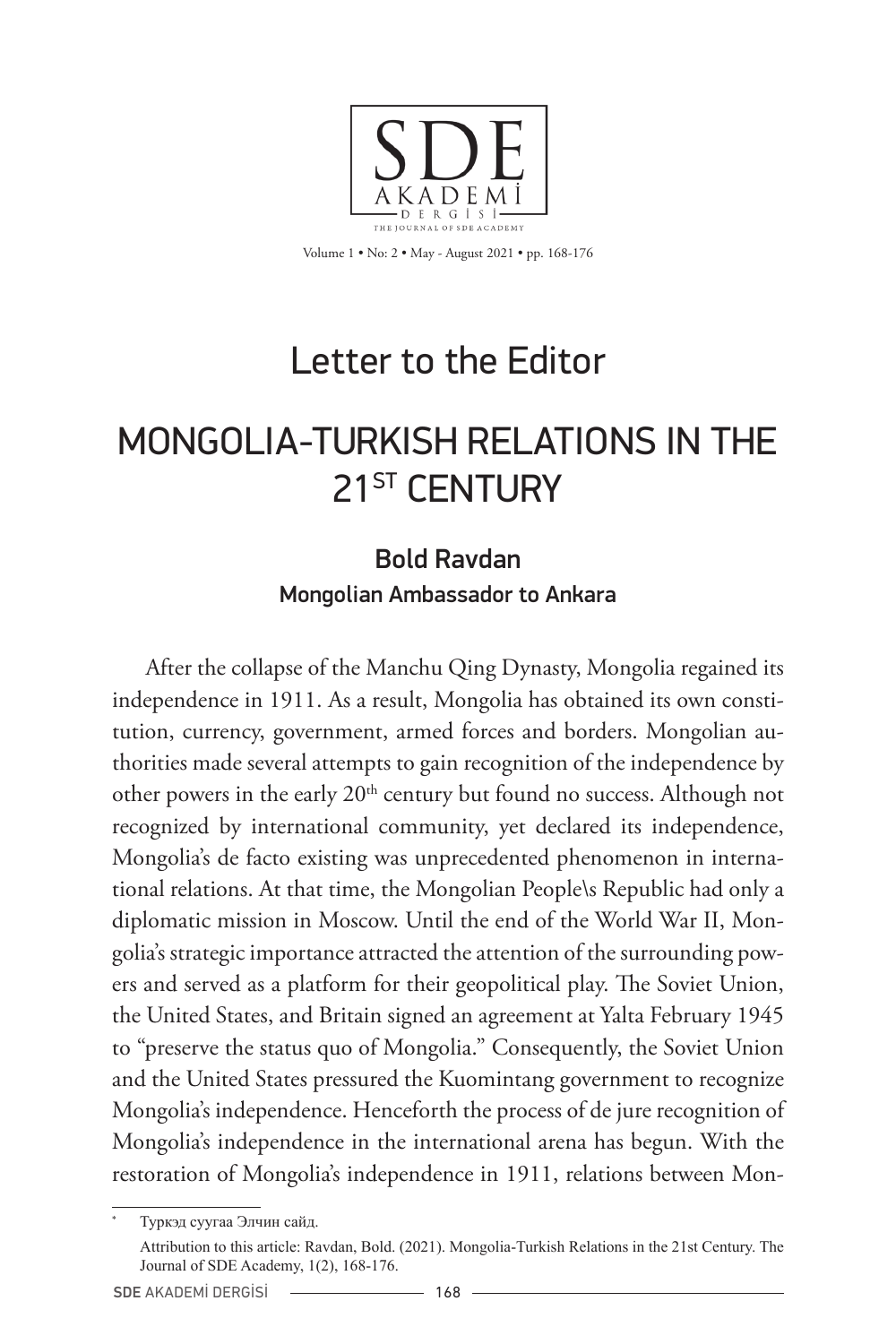

Volume 1 • No: 2 • May - August 2021 • pp. 168-176

## Letter to the Editor

## MONGOLIA-TURKISH RELATIONS IN THE 21<sup>ST</sup> CENTURY

## Bold Ravdan Mongolian Ambassador to Ankara

After the collapse of the Manchu Qing Dynasty, Mongolia regained its independence in 1911. As a result, Mongolia has obtained its own constitution, currency, government, armed forces and borders. Mongolian authorities made several attempts to gain recognition of the independence by other powers in the early 20<sup>th</sup> century but found no success. Although not recognized by international community, yet declared its independence, Mongolia's de facto existing was unprecedented phenomenon in international relations. At that time, the Mongolian People\s Republic had only a diplomatic mission in Moscow. Until the end of the World War II, Mongolia's strategic importance attracted the attention of the surrounding powers and served as a platform for their geopolitical play. The Soviet Union, the United States, and Britain signed an agreement at Yalta February 1945 to "preserve the status quo of Mongolia." Consequently, the Soviet Union and the United States pressured the Kuomintang government to recognize Mongolia's independence. Henceforth the process of de jure recognition of Mongolia's independence in the international arena has begun. With the restoration of Mongolia's independence in 1911, relations between Mon-

Туркэд суугаа Элчин сайд. Attribution to this article: Ravdan, Bold. (2021). Mongolia-Turkish Relations in the 21st Century. The Journal of SDE Academy, 1(2), 168-176.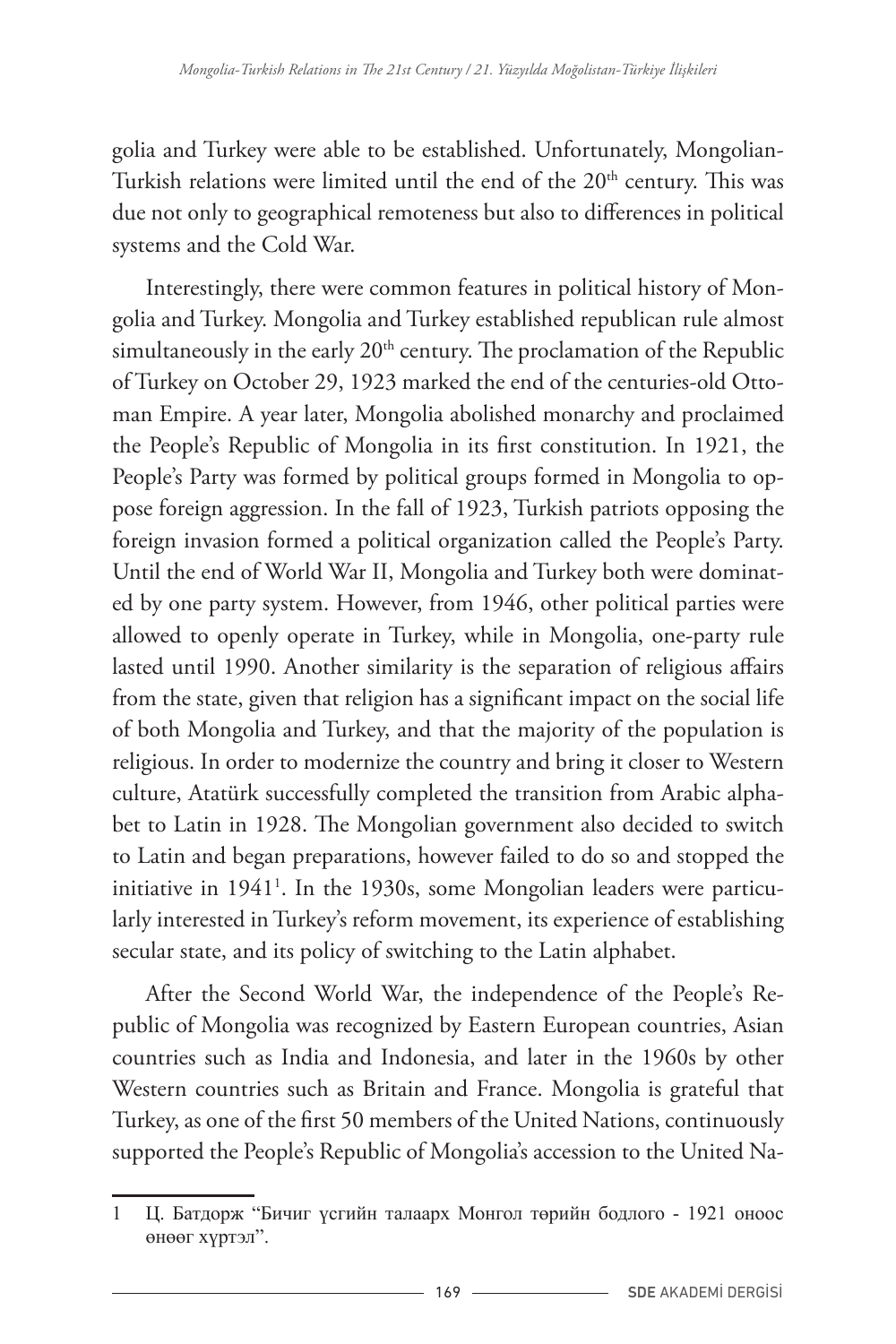golia and Turkey were able to be established. Unfortunately, Mongolian-Turkish relations were limited until the end of the 20<sup>th</sup> century. This was due not only to geographical remoteness but also to differences in political systems and the Cold War.

Interestingly, there were common features in political history of Mongolia and Turkey. Mongolia and Turkey established republican rule almost simultaneously in the early 20<sup>th</sup> century. The proclamation of the Republic of Turkey on October 29, 1923 marked the end of the centuries-old Ottoman Empire. A year later, Mongolia abolished monarchy and proclaimed the People's Republic of Mongolia in its first constitution. In 1921, the People's Party was formed by political groups formed in Mongolia to oppose foreign aggression. In the fall of 1923, Turkish patriots opposing the foreign invasion formed a political organization called the People's Party. Until the end of World War II, Mongolia and Turkey both were dominated by one party system. However, from 1946, other political parties were allowed to openly operate in Turkey, while in Mongolia, one-party rule lasted until 1990. Another similarity is the separation of religious affairs from the state, given that religion has a significant impact on the social life of both Mongolia and Turkey, and that the majority of the population is religious. In order to modernize the country and bring it closer to Western culture, Atatürk successfully completed the transition from Arabic alphabet to Latin in 1928. The Mongolian government also decided to switch to Latin and began preparations, however failed to do so and stopped the initiative in 1941<sup>1</sup> . In the 1930s, some Mongolian leaders were particularly interested in Turkey's reform movement, its experience of establishing secular state, and its policy of switching to the Latin alphabet.

After the Second World War, the independence of the People's Republic of Mongolia was recognized by Eastern European countries, Asian countries such as India and Indonesia, and later in the 1960s by other Western countries such as Britain and France. Mongolia is grateful that Turkey, as one of the first 50 members of the United Nations, continuously supported the People's Republic of Mongolia's accession to the United Na-

<sup>1</sup> Ц. Батдорж "Бичиг үсгийн талаарх Монгол төрийн бодлого - 1921 оноос өнөөг хүртэл".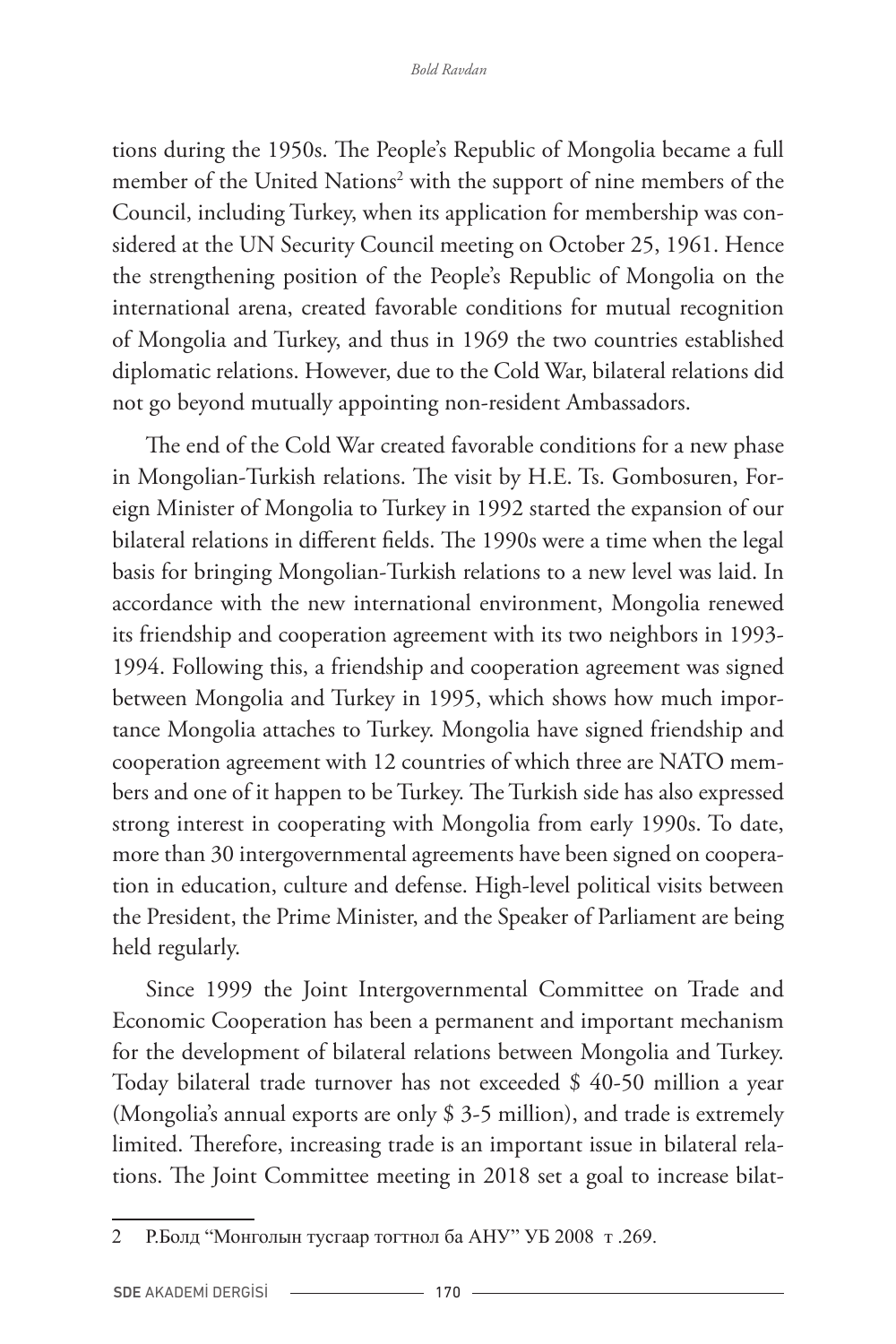tions during the 1950s. The People's Republic of Mongolia became a full member of the United Nations<sup>2</sup> with the support of nine members of the Council, including Turkey, when its application for membership was considered at the UN Security Council meeting on October 25, 1961. Hence the strengthening position of the People's Republic of Mongolia on the international arena, created favorable conditions for mutual recognition of Mongolia and Turkey, and thus in 1969 the two countries established diplomatic relations. However, due to the Cold War, bilateral relations did not go beyond mutually appointing non-resident Ambassadors.

The end of the Cold War created favorable conditions for a new phase in Mongolian-Turkish relations. The visit by H.E. Ts. Gombosuren, Foreign Minister of Mongolia to Turkey in 1992 started the expansion of our bilateral relations in different fields. The 1990s were a time when the legal basis for bringing Mongolian-Turkish relations to a new level was laid. In accordance with the new international environment, Mongolia renewed its friendship and cooperation agreement with its two neighbors in 1993- 1994. Following this, a friendship and cooperation agreement was signed between Mongolia and Turkey in 1995, which shows how much importance Mongolia attaches to Turkey. Mongolia have signed friendship and cooperation agreement with 12 countries of which three are NATO members and one of it happen to be Turkey. The Turkish side has also expressed strong interest in cooperating with Mongolia from early 1990s. To date, more than 30 intergovernmental agreements have been signed on cooperation in education, culture and defense. High-level political visits between the President, the Prime Minister, and the Speaker of Parliament are being held regularly.

Since 1999 the Joint Intergovernmental Committee on Trade and Economic Cooperation has been a permanent and important mechanism for the development of bilateral relations between Mongolia and Turkey. Today bilateral trade turnover has not exceeded \$ 40-50 million a year (Mongolia's annual exports are only \$ 3-5 million), and trade is extremely limited. Therefore, increasing trade is an important issue in bilateral relations. The Joint Committee meeting in 2018 set a goal to increase bilat-

<sup>2</sup> Р.Болд "Монголын тусгаар тогтнол ба АНУ" УБ 2008 т .269.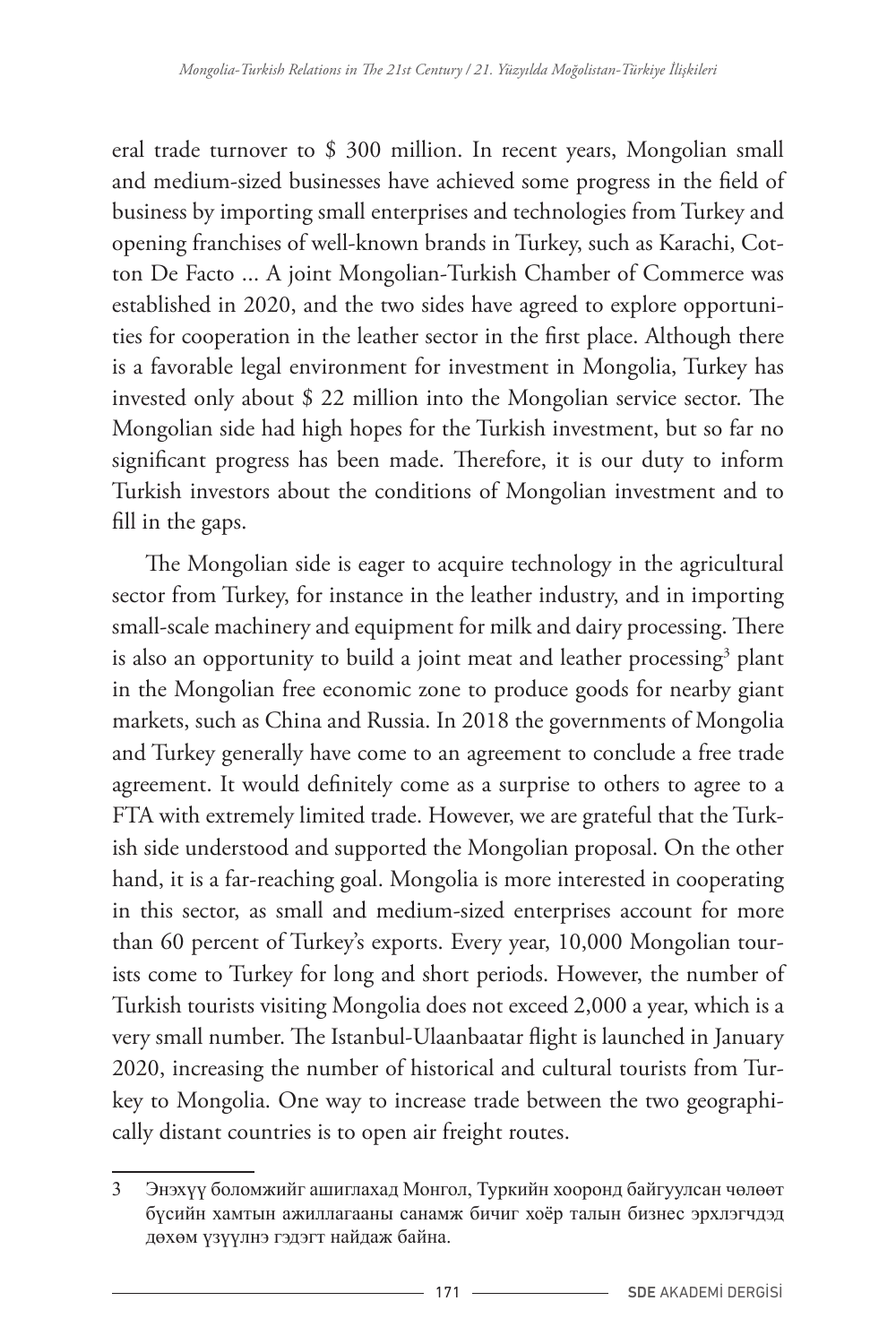eral trade turnover to \$ 300 million. In recent years, Mongolian small and medium-sized businesses have achieved some progress in the field of business by importing small enterprises and technologies from Turkey and opening franchises of well-known brands in Turkey, such as Karachi, Cotton De Facto ... A joint Mongolian-Turkish Chamber of Commerce was established in 2020, and the two sides have agreed to explore opportunities for cooperation in the leather sector in the first place. Although there is a favorable legal environment for investment in Mongolia, Turkey has invested only about \$ 22 million into the Mongolian service sector. The Mongolian side had high hopes for the Turkish investment, but so far no significant progress has been made. Therefore, it is our duty to inform Turkish investors about the conditions of Mongolian investment and to fill in the gaps.

The Mongolian side is eager to acquire technology in the agricultural sector from Turkey, for instance in the leather industry, and in importing small-scale machinery and equipment for milk and dairy processing. There is also an opportunity to build a joint meat and leather processing<sup>3</sup> plant in the Mongolian free economic zone to produce goods for nearby giant markets, such as China and Russia. In 2018 the governments of Mongolia and Turkey generally have come to an agreement to conclude a free trade agreement. It would definitely come as a surprise to others to agree to a FTA with extremely limited trade. However, we are grateful that the Turkish side understood and supported the Mongolian proposal. On the other hand, it is a far-reaching goal. Mongolia is more interested in cooperating in this sector, as small and medium-sized enterprises account for more than 60 percent of Turkey's exports. Every year, 10,000 Mongolian tourists come to Turkey for long and short periods. However, the number of Turkish tourists visiting Mongolia does not exceed 2,000 a year, which is a very small number. The Istanbul-Ulaanbaatar flight is launched in January 2020, increasing the number of historical and cultural tourists from Turkey to Mongolia. One way to increase trade between the two geographically distant countries is to open air freight routes.

<sup>3</sup> Энэхүү боломжийг ашиглахад Монгол, Туркийн хооронд байгуулсан чөлөөт бүсийн хамтын ажиллагааны санамж бичиг хоёр талын бизнес эрхлэгчдэд дөхөм үзүүлнэ гэдэгт найдаж байна.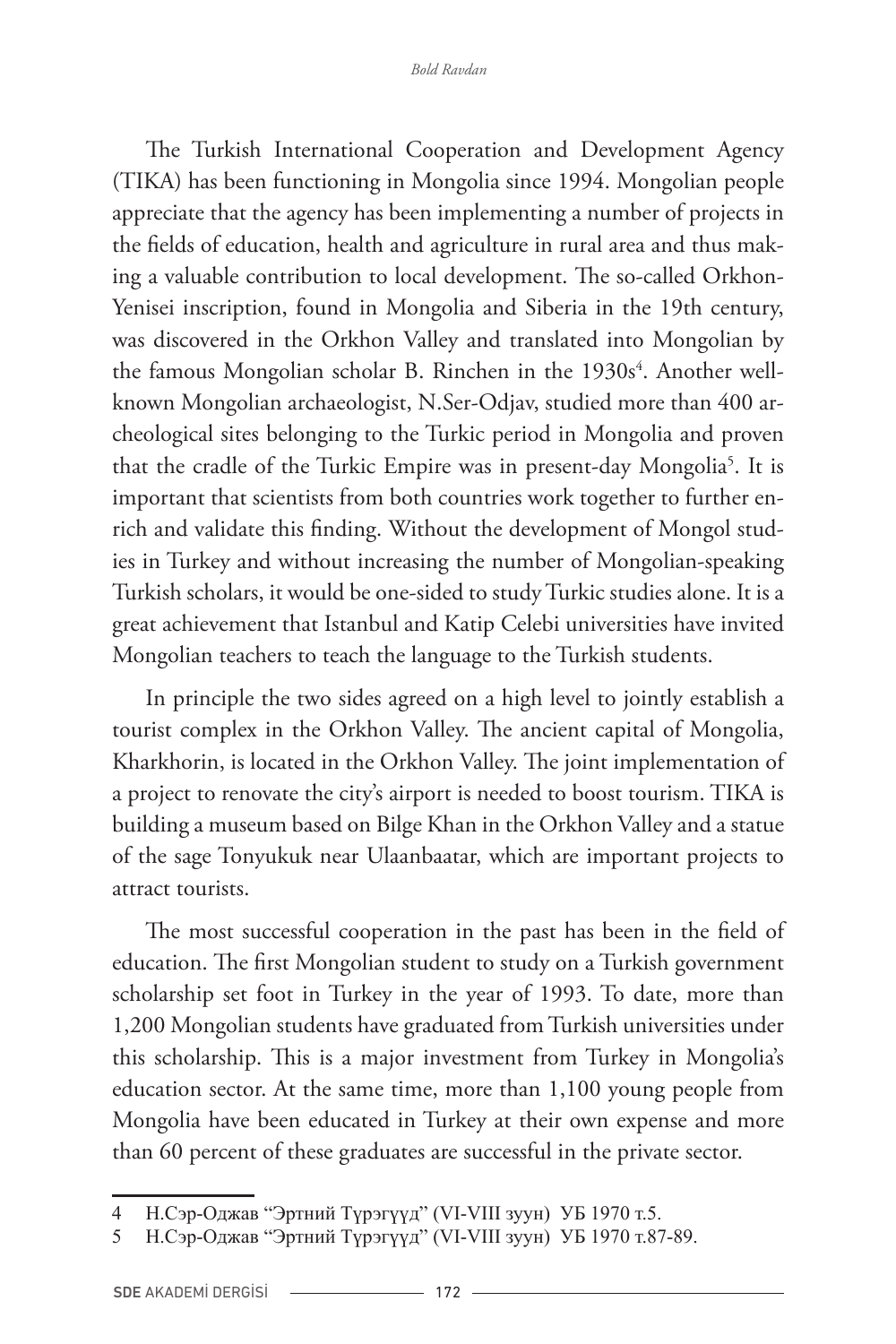The Turkish International Cooperation and Development Agency (TIKA) has been functioning in Mongolia since 1994. Mongolian people appreciate that the agency has been implementing a number of projects in the fields of education, health and agriculture in rural area and thus making a valuable contribution to local development. The so-called Orkhon-Yenisei inscription, found in Mongolia and Siberia in the 19th century, was discovered in the Orkhon Valley and translated into Mongolian by the famous Mongolian scholar B. Rinchen in the 1930s<sup>4</sup>. Another wellknown Mongolian archaeologist, N.Ser-Odjav, studied more than 400 archeological sites belonging to the Turkic period in Mongolia and proven that the cradle of the Turkic Empire was in present-day Mongolia<sup>5</sup>. It is important that scientists from both countries work together to further enrich and validate this finding. Without the development of Mongol studies in Turkey and without increasing the number of Mongolian-speaking Turkish scholars, it would be one-sided to study Turkic studies alone. It is a great achievement that Istanbul and Katip Celebi universities have invited Mongolian teachers to teach the language to the Turkish students.

In principle the two sides agreed on a high level to jointly establish a tourist complex in the Orkhon Valley. The ancient capital of Mongolia, Kharkhorin, is located in the Orkhon Valley. The joint implementation of a project to renovate the city's airport is needed to boost tourism. TIKA is building a museum based on Bilge Khan in the Orkhon Valley and a statue of the sage Tonyukuk near Ulaanbaatar, which are important projects to attract tourists.

The most successful cooperation in the past has been in the field of education. The first Mongolian student to study on a Turkish government scholarship set foot in Turkey in the year of 1993. To date, more than 1,200 Mongolian students have graduated from Turkish universities under this scholarship. This is a major investment from Turkey in Mongolia's education sector. At the same time, more than 1,100 young people from Mongolia have been educated in Turkey at their own expense and more than 60 percent of these graduates are successful in the private sector.

<sup>4</sup> Н.Сэр-Оджав "Эртний Түрэгүүд" (VI-VIII зуун) УБ 1970 т.5.

<sup>5</sup> Н.Сэр-Оджав "Эртний Түрэгүүд" (VI-VIII зуун) УБ 1970 т.87-89.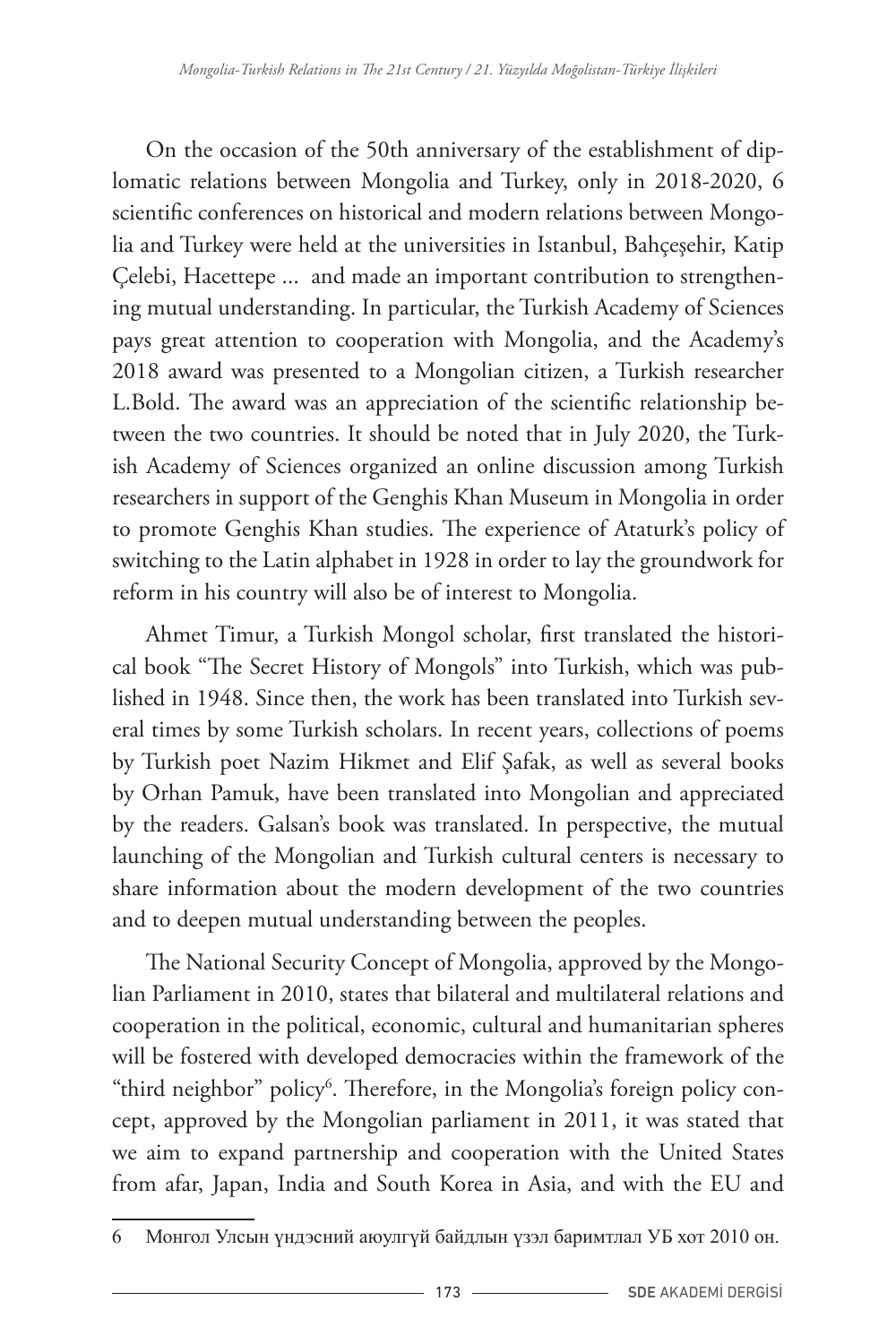On the occasion of the 50th anniversary of the establishment of diplomatic relations between Mongolia and Turkey, only in 2018-2020, 6 scientific conferences on historical and modern relations between Mongolia and Turkey were held at the universities in Istanbul, Bahçeşehir, Katip Çelebi, Hacettepe ... and made an important contribution to strengthening mutual understanding. In particular, the Turkish Academy of Sciences pays great attention to cooperation with Mongolia, and the Academy's 2018 award was presented to a Mongolian citizen, a Turkish researcher L.Bold. The award was an appreciation of the scientific relationship between the two countries. It should be noted that in July 2020, the Turkish Academy of Sciences organized an online discussion among Turkish researchers in support of the Genghis Khan Museum in Mongolia in order to promote Genghis Khan studies. The experience of Ataturk's policy of switching to the Latin alphabet in 1928 in order to lay the groundwork for reform in his country will also be of interest to Mongolia.

Ahmet Timur, a Turkish Mongol scholar, first translated the historical book "The Secret History of Mongols" into Turkish, which was published in 1948. Since then, the work has been translated into Turkish several times by some Turkish scholars. In recent years, collections of poems by Turkish poet Nazim Hikmet and Elif Şafak, as well as several books by Orhan Pamuk, have been translated into Mongolian and appreciated by the readers. Galsan's book was translated. In perspective, the mutual launching of the Mongolian and Turkish cultural centers is necessary to share information about the modern development of the two countries and to deepen mutual understanding between the peoples.

The National Security Concept of Mongolia, approved by the Mongolian Parliament in 2010, states that bilateral and multilateral relations and cooperation in the political, economic, cultural and humanitarian spheres will be fostered with developed democracies within the framework of the  $\lq$ third neighbor" policy $\lq$ . Therefore, in the Mongolia's foreign policy concept, approved by the Mongolian parliament in 2011, it was stated that we aim to expand partnership and cooperation with the United States from afar, Japan, India and South Korea in Asia, and with the EU and

<sup>6</sup> Монгол Улсын үндэсний аюулгүй байдлын үзэл баримтлал УБ хот 2010 он.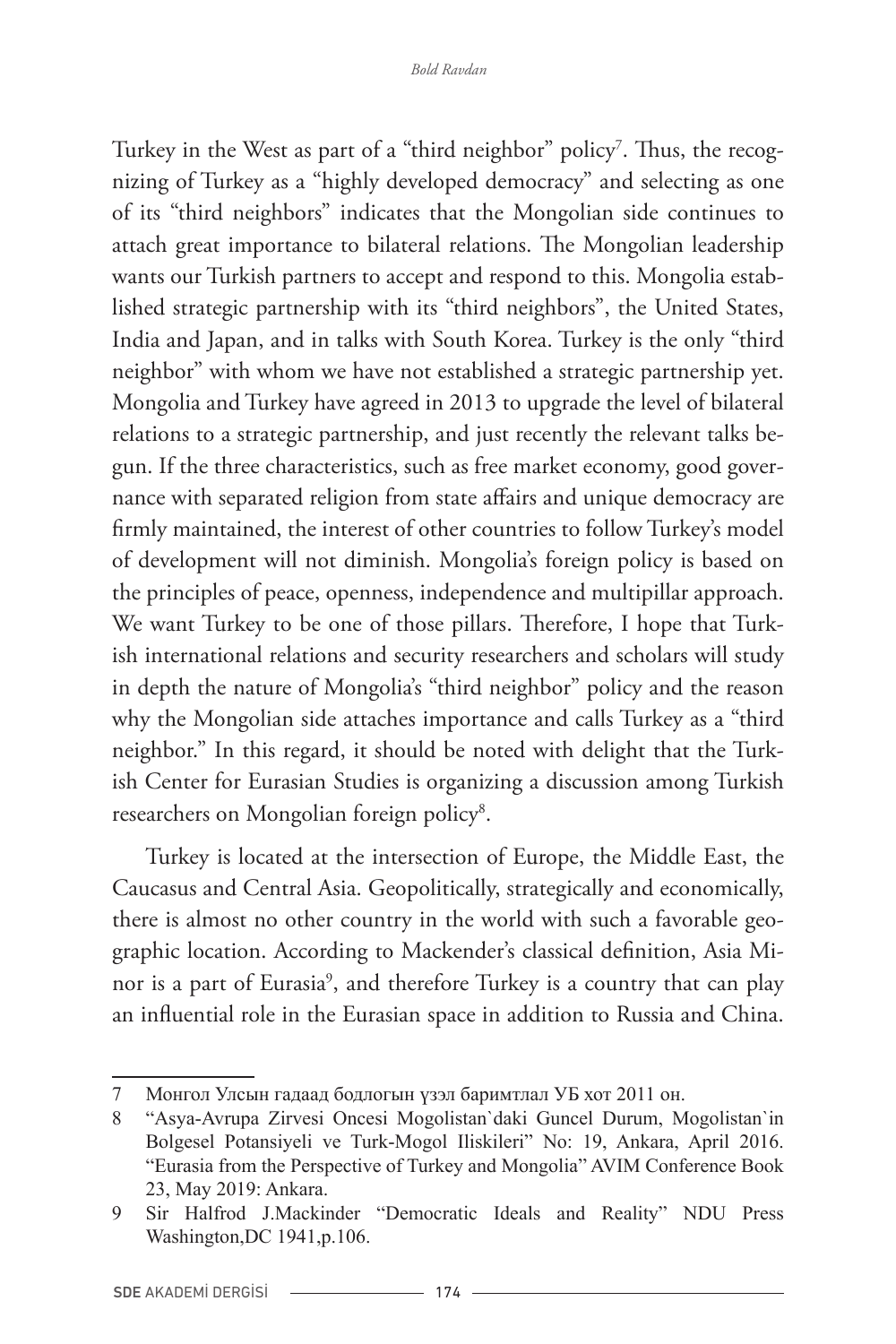Turkey in the West as part of a "third neighbor" policy<sup>7</sup>. Thus, the recognizing of Turkey as a "highly developed democracy" and selecting as one of its "third neighbors" indicates that the Mongolian side continues to attach great importance to bilateral relations. The Mongolian leadership wants our Turkish partners to accept and respond to this. Mongolia established strategic partnership with its "third neighbors", the United States, India and Japan, and in talks with South Korea. Turkey is the only "third neighbor" with whom we have not established a strategic partnership yet. Mongolia and Turkey have agreed in 2013 to upgrade the level of bilateral relations to a strategic partnership, and just recently the relevant talks begun. If the three characteristics, such as free market economy, good governance with separated religion from state affairs and unique democracy are firmly maintained, the interest of other countries to follow Turkey's model of development will not diminish. Mongolia's foreign policy is based on the principles of peace, openness, independence and multipillar approach. We want Turkey to be one of those pillars. Therefore, I hope that Turkish international relations and security researchers and scholars will study in depth the nature of Mongolia's "third neighbor" policy and the reason why the Mongolian side attaches importance and calls Turkey as a "third neighbor." In this regard, it should be noted with delight that the Turkish Center for Eurasian Studies is organizing a discussion among Turkish researchers on Mongolian foreign policy<sup>8</sup>.

Turkey is located at the intersection of Europe, the Middle East, the Caucasus and Central Asia. Geopolitically, strategically and economically, there is almost no other country in the world with such a favorable geographic location. According to Mackender's classical definition, Asia Minor is a part of Eurasia9 , and therefore Turkey is a country that can play an influential role in the Eurasian space in addition to Russia and China.

<sup>7</sup> Монгол Улсын гадаад бодлогын үзэл баримтлал УБ хот 2011 он.

<sup>8</sup> "Asya-Avrupa Zirvesi Oncesi Mogolistan`daki Guncel Durum, Mogolistan`in Bolgesel Potansiyeli ve Turk-Mogol Iliskileri" No: 19, Ankara, April 2016. "Eurasia from the Perspective of Turkey and Mongolia" AVIM Conference Book 23, May 2019: Ankara.

<sup>9</sup> Sir Halfrod J.Mackinder "Democratic Ideals and Reality" NDU Press Washington,DC 1941,p.106.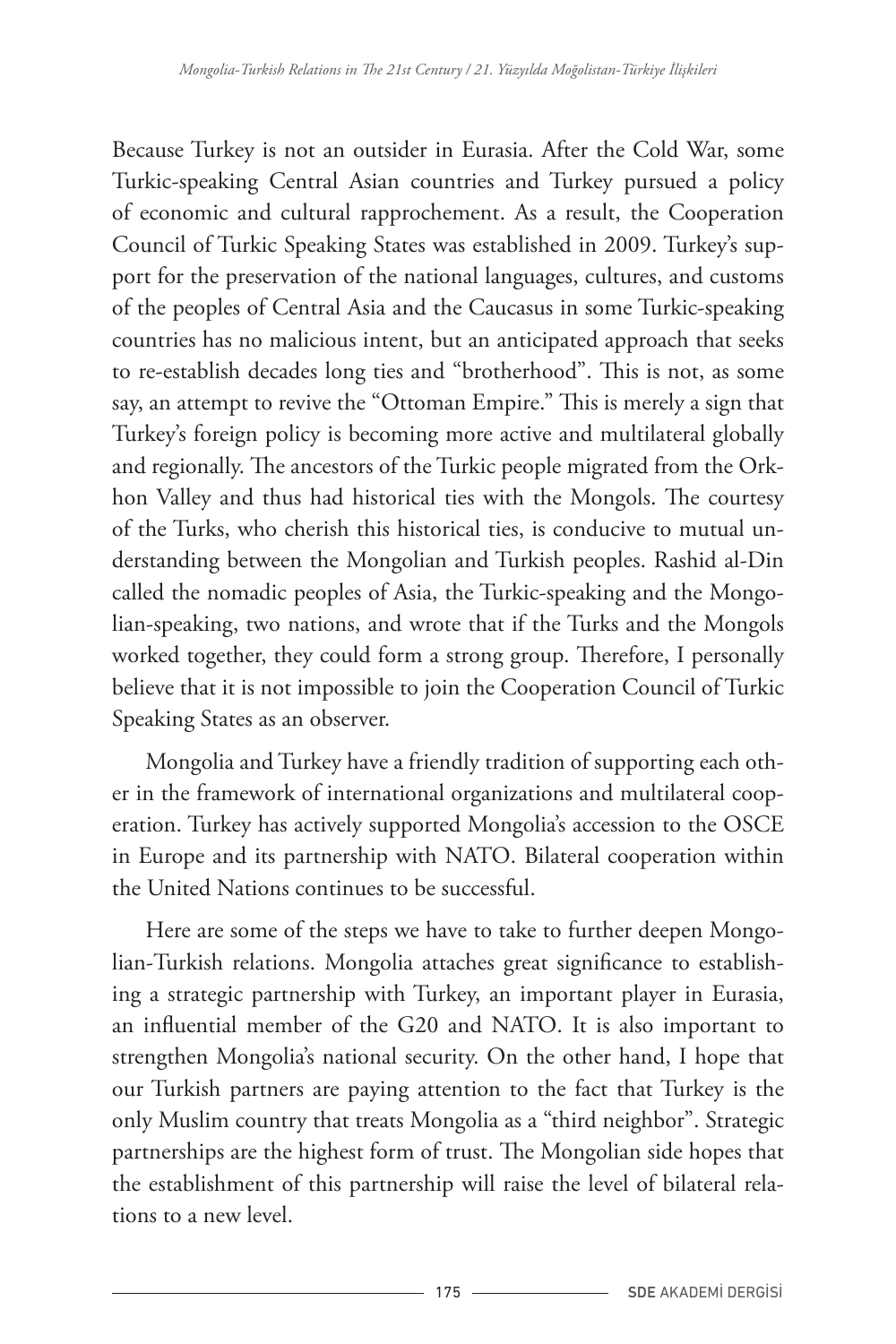Because Turkey is not an outsider in Eurasia. After the Cold War, some Turkic-speaking Central Asian countries and Turkey pursued a policy of economic and cultural rapprochement. As a result, the Cooperation Council of Turkic Speaking States was established in 2009. Turkey's support for the preservation of the national languages, cultures, and customs of the peoples of Central Asia and the Caucasus in some Turkic-speaking countries has no malicious intent, but an anticipated approach that seeks to re-establish decades long ties and "brotherhood". This is not, as some say, an attempt to revive the "Ottoman Empire." This is merely a sign that Turkey's foreign policy is becoming more active and multilateral globally and regionally. The ancestors of the Turkic people migrated from the Orkhon Valley and thus had historical ties with the Mongols. The courtesy of the Turks, who cherish this historical ties, is conducive to mutual understanding between the Mongolian and Turkish peoples. Rashid al-Din called the nomadic peoples of Asia, the Turkic-speaking and the Mongolian-speaking, two nations, and wrote that if the Turks and the Mongols worked together, they could form a strong group. Therefore, I personally believe that it is not impossible to join the Cooperation Council of Turkic Speaking States as an observer.

Mongolia and Turkey have a friendly tradition of supporting each other in the framework of international organizations and multilateral cooperation. Turkey has actively supported Mongolia's accession to the OSCE in Europe and its partnership with NATO. Bilateral cooperation within the United Nations continues to be successful.

Here are some of the steps we have to take to further deepen Mongolian-Turkish relations. Mongolia attaches great significance to establishing a strategic partnership with Turkey, an important player in Eurasia, an influential member of the G20 and NATO. It is also important to strengthen Mongolia's national security. On the other hand, I hope that our Turkish partners are paying attention to the fact that Turkey is the only Muslim country that treats Mongolia as a "third neighbor". Strategic partnerships are the highest form of trust. The Mongolian side hopes that the establishment of this partnership will raise the level of bilateral relations to a new level.